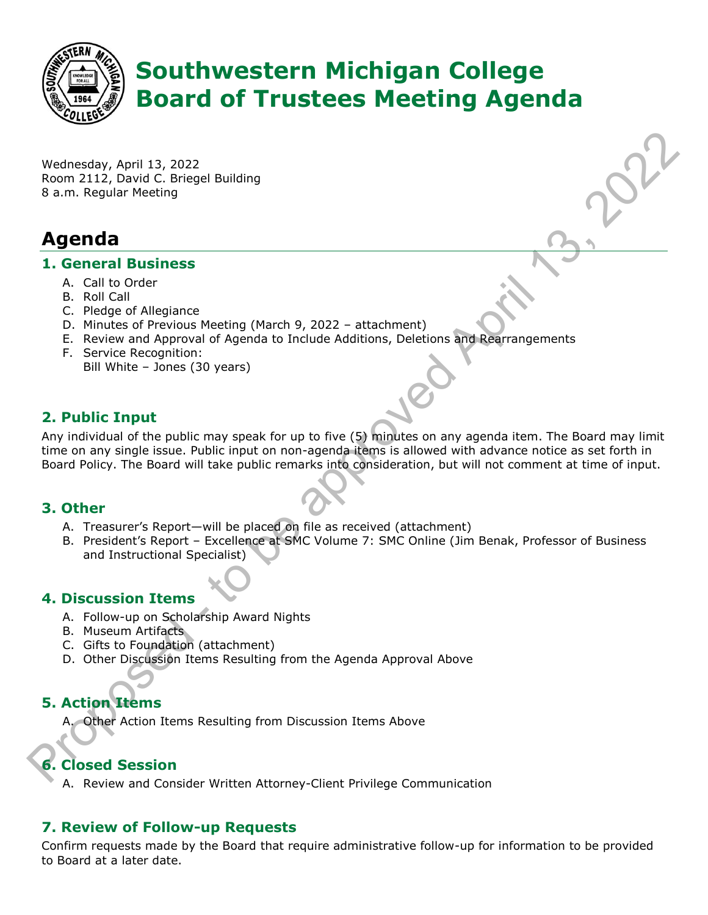

# **Southwestern Michigan College Board of Trustees Meeting Agenda**

Wednesday, April 13, 2022 Room 2112, David C. Briegel Building 8 a.m. Regular Meeting

# **Agenda**

#### **1. General Business**

- A. Call to Order
- B. Roll Call
- C. Pledge of Allegiance
- D. Minutes of Previous Meeting (March 9, 2022 attachment)
- E. Review and Approval of Agenda to Include Additions, Deletions and Rearrangements
- F. Service Recognition: Bill White – Jones (30 years)

## **2. Public Input**

Wednesday, April 13, 2022<br>
Roam, 2113, David C. Binegel Building<br>
8 a.m. Regular Meeting<br>
1. A. Certico of Alleylance<br>
1. A. Certico of Alleylance<br>
6. Roll Call<br>
6. Rockie of Alleylance<br>
6. Roll Call<br>
6. Rockie and Approve Any individual of the public may speak for up to five (5) minutes on any agenda item. The Board may limit time on any single issue. Public input on non-agenda items is allowed with advance notice as set forth in Board Policy. The Board will take public remarks into consideration, but will not comment at time of input.

#### **3. Other**

- A. Treasurer's Report—will be placed on file as received (attachment)
- B. President's Report Excellence at SMC Volume 7: SMC Online (Jim Benak, Professor of Business and Instructional Specialist)

#### **4. Discussion Items**

- A. Follow-up on Scholarship Award Nights
- B. Museum Artifacts
- C. Gifts to Foundation (attachment)
- D. Other Discussion Items Resulting from the Agenda Approval Above

### **5. Action Items**

A. Other Action Items Resulting from Discussion Items Above

# **6. Closed Session**

A. Review and Consider Written Attorney-Client Privilege Communication

#### **7. Review of Follow-up Requests**

Confirm requests made by the Board that require administrative follow-up for information to be provided to Board at a later date.